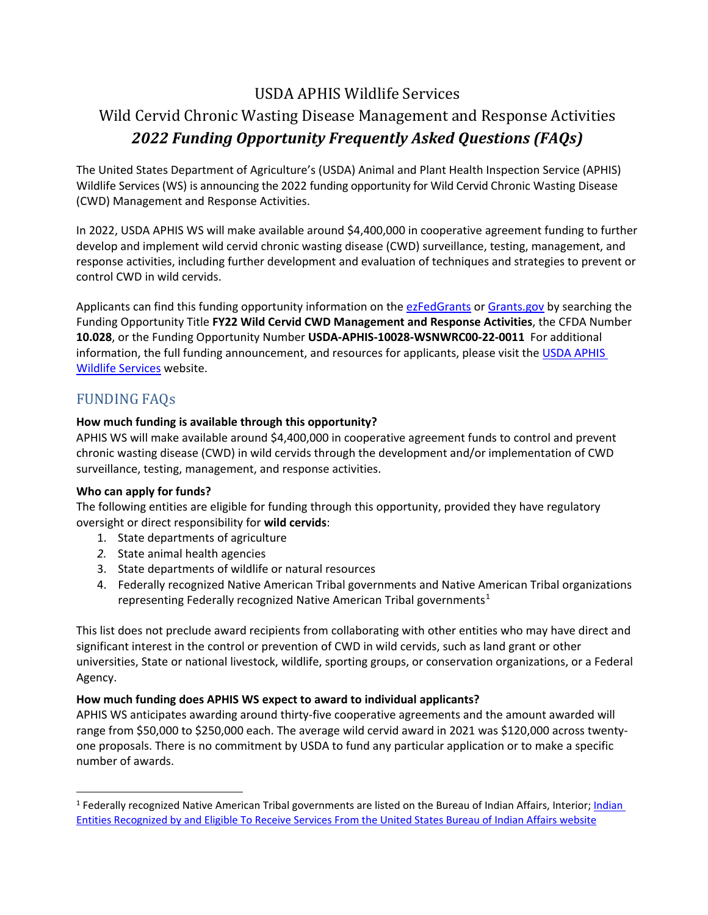# USDA APHIS Wildlife Services

# Wild Cervid Chronic Wasting Disease Management and Response Activities *2022 Funding Opportunity Frequently Asked Questions (FAQs)*

The United States Department of Agriculture's (USDA) Animal and Plant Health Inspection Service (APHIS) Wildlife Services (WS) is announcing the 2022 funding opportunity for Wild Cervid Chronic Wasting Disease (CWD) Management and Response Activities.

In 2022, USDA APHIS WS will make available around \$4,400,000 in cooperative agreement funding to further develop and implement wild cervid chronic wasting disease (CWD) surveillance, testing, management, and response activities, including further development and evaluation of techniques and strategies to prevent or control CWD in wild cervids.

Applicants can find this funding opportunity information on the [ezFedGrants](https://www.ocfo.usda.gov/ezFedGrants) or [Grants.gov](https://www.grants.gov/web/grants/search-grants.html) by searching the Funding Opportunity Title **FY22 Wild Cervid CWD Management and Response Activities**, the CFDA Number **10.028**, or the Funding Opportunity Number **USDA-APHIS-10028-WSNWRC00-22-0011** For additional information, the full funding announcement, and resources for applicants, please visit the [USDA APHIS](https://www.aphis.usda.gov/aphis/ourfocus/wildlifedamage/SA_Program_Overview)  [Wildlife Services](https://www.aphis.usda.gov/aphis/ourfocus/wildlifedamage/SA_Program_Overview) website.

## FUNDING FAQs

### **How much funding is available through this opportunity?**

APHIS WS will make available around \$4,400,000 in cooperative agreement funds to control and prevent chronic wasting disease (CWD) in wild cervids through the development and/or implementation of CWD surveillance, testing, management, and response activities.

### **Who can apply for funds?**

The following entities are eligible for funding through this opportunity, provided they have regulatory oversight or direct responsibility for **wild cervids**:

- 1. State departments of agriculture
- *2.* State animal health agencies
- 3. State departments of wildlife or natural resources
- 4. Federally recognized Native American Tribal governments and Native American Tribal organizations representing Federally recognized Native American Tribal governments<sup>[1](#page-0-0)</sup>

This list does not preclude award recipients from collaborating with other entities who may have direct and significant interest in the control or prevention of CWD in wild cervids, such as land grant or other universities, State or national livestock, wildlife, sporting groups, or conservation organizations, or a Federal Agency.

### **How much funding does APHIS WS expect to award to individual applicants?**

APHIS WS anticipates awarding around thirty-five cooperative agreements and the amount awarded will range from \$50,000 to \$250,000 each. The average wild cervid award in 2021 was \$120,000 across twentyone proposals. There is no commitment by USDA to fund any particular application or to make a specific number of awards.

<span id="page-0-0"></span><sup>&</sup>lt;sup>1</sup> Federally recognized Native American Tribal governments are listed on the Bureau of Indian Affairs, Interior; Indian [Entities Recognized by and Eligible To Receive Services From the United States Bureau of Indian Affairs website](https://www.federalregister.gov/documents/2021/01/29/2021-01606/indian-entities-recognized-by-and-eligible-to-receive-services-from-the-united-states-bureau-of)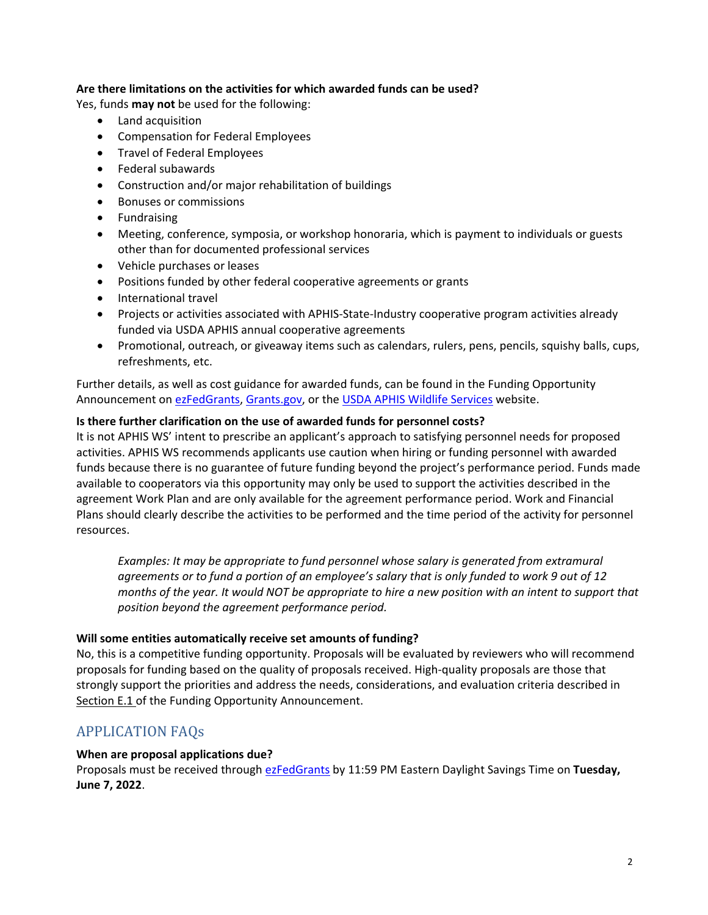### **Are there limitations on the activities for which awarded funds can be used?**

Yes, funds **may not** be used for the following:

- Land acquisition
- Compensation for Federal Employees
- Travel of Federal Employees
- Federal subawards
- Construction and/or major rehabilitation of buildings
- Bonuses or commissions
- **Fundraising**
- Meeting, conference, symposia, or workshop honoraria, which is payment to individuals or guests other than for documented professional services
- Vehicle purchases or leases
- Positions funded by other federal cooperative agreements or grants
- International travel
- Projects or activities associated with APHIS-State-Industry cooperative program activities already funded via USDA APHIS annual cooperative agreements
- Promotional, outreach, or giveaway items such as calendars, rulers, pens, pencils, squishy balls, cups, refreshments, etc.

Further details, as well as cost guidance for awarded funds, can be found in the Funding Opportunity Announcement on [ezFedGrants,](https://www.ocfo.usda.gov/ezFedGrants) [Grants.gov,](https://www.grants.gov/web/grants/search-grants.html) or the [USDA APHIS Wildlife Services](https://www.aphis.usda.gov/aphis/ourfocus/wildlifedamage/SA_Program_Overview) website.

### **Is there further clarification on the use of awarded funds for personnel costs?**

It is not APHIS WS' intent to prescribe an applicant's approach to satisfying personnel needs for proposed activities. APHIS WS recommends applicants use caution when hiring or funding personnel with awarded funds because there is no guarantee of future funding beyond the project's performance period. Funds made available to cooperators via this opportunity may only be used to support the activities described in the agreement Work Plan and are only available for the agreement performance period. Work and Financial Plans should clearly describe the activities to be performed and the time period of the activity for personnel resources.

*Examples: It may be appropriate to fund personnel whose salary is generated from extramural agreements or to fund a portion of an employee's salary that is only funded to work 9 out of 12 months of the year. It would NOT be appropriate to hire a new position with an intent to support that position beyond the agreement performance period.*

### **Will some entities automatically receive set amounts of funding?**

No, this is a competitive funding opportunity. Proposals will be evaluated by reviewers who will recommend proposals for funding based on the quality of proposals received. High-quality proposals are those that strongly support the priorities and address the needs, considerations, and evaluation criteria described in Section E.1 of the Funding Opportunity Announcement.

### APPLICATION FAQs

### **When are proposal applications due?**

Proposals must be received through [ezFedGrants](https://www.ocfo.usda.gov/ezFedGrants) by 11:59 PM Eastern Daylight Savings Time on **Tuesday, June 7, 2022**.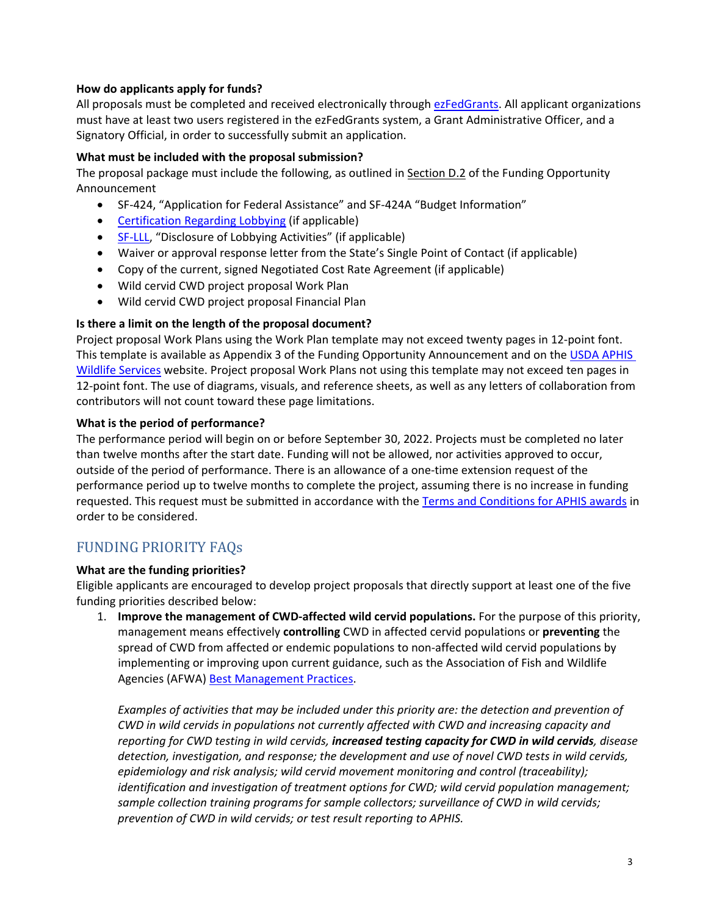### **How do applicants apply for funds?**

All proposals must be completed and received electronically through [ezFedGrants.](https://www.ocfo.usda.gov/ezFedGrants) All applicant organizations must have at least two users registered in the ezFedGrants system, a Grant Administrative Officer, and a Signatory Official, in order to successfully submit an application.

### **What must be included with the proposal submission?**

The proposal package must include the following, as outlined in Section D.2 of the Funding Opportunity Announcement

- SF-424, "Application for Federal Assistance" and SF-424A "Budget Information"
- [Certification Regarding Lobbying](https://www.aphis.usda.gov/library/forms/pdf/certification_regarding_lobbying.pdf) (if applicable)
- [SF-LLL,](https://www.grants.gov/web/grants/forms/post-award-reporting-forms.html#sortby=1) "Disclosure of Lobbying Activities" (if applicable)
- Waiver or approval response letter from the State's Single Point of Contact (if applicable)
- Copy of the current, signed Negotiated Cost Rate Agreement (if applicable)
- Wild cervid CWD project proposal Work Plan
- Wild cervid CWD project proposal Financial Plan

### **Is there a limit on the length of the proposal document?**

Project proposal Work Plans using the Work Plan template may not exceed twenty pages in 12-point font. This template is available as Appendix 3 of the Funding Opportunity Announcement and on the [USDA APHIS](https://www.aphis.usda.gov/aphis/ourfocus/wildlifedamage/SA_Program_Overview)  [Wildlife Services](https://www.aphis.usda.gov/aphis/ourfocus/wildlifedamage/SA_Program_Overview) website. Project proposal Work Plans not using this template may not exceed ten pages in 12-point font. The use of diagrams, visuals, and reference sheets, as well as any letters of collaboration from contributors will not count toward these page limitations.

### **What is the period of performance?**

The performance period will begin on or before September 30, 2022. Projects must be completed no later than twelve months after the start date. Funding will not be allowed, nor activities approved to occur, outside of the period of performance. There is an allowance of a one-time extension request of the performance period up to twelve months to complete the project, assuming there is no increase in funding requested. This request must be submitted in accordance with the [Terms and Conditions for APHIS awards](https://www.aphis.usda.gov/aphis/ourfocus/business-services/financial-management-division/Financial_Services_Branch/Agreements_Service_Center/terms-conditions-for-aphis-awards) in order to be considered.

### FUNDING PRIORITY FAQs

### **What are the funding priorities?**

Eligible applicants are encouraged to develop project proposals that directly support at least one of the five funding priorities described below:

1. **Improve the management of CWD-affected wild cervid populations.** For the purpose of this priority, management means effectively **controlling** CWD in affected cervid populations or **preventing** the spread of CWD from affected or endemic populations to non-affected wild cervid populations by implementing or improving upon current guidance, such as the Association of Fish and Wildlife Agencies (AFWA) [Best Management Practices.](https://www.fishwildlife.org/application/files/5215/3729/1805/AFWA_CWD_BMPS_12_September_2018_FINAL.pdf)

*Examples of activities that may be included under this priority are: the detection and prevention of CWD in wild cervids in populations not currently affected with CWD and increasing capacity and reporting for CWD testing in wild cervids, increased testing capacity for CWD in wild cervids, disease detection, investigation, and response; the development and use of novel CWD tests in wild cervids, epidemiology and risk analysis; wild cervid movement monitoring and control (traceability); identification and investigation of treatment options for CWD; wild cervid population management; sample collection training programs for sample collectors; surveillance of CWD in wild cervids; prevention of CWD in wild cervids; or test result reporting to APHIS.*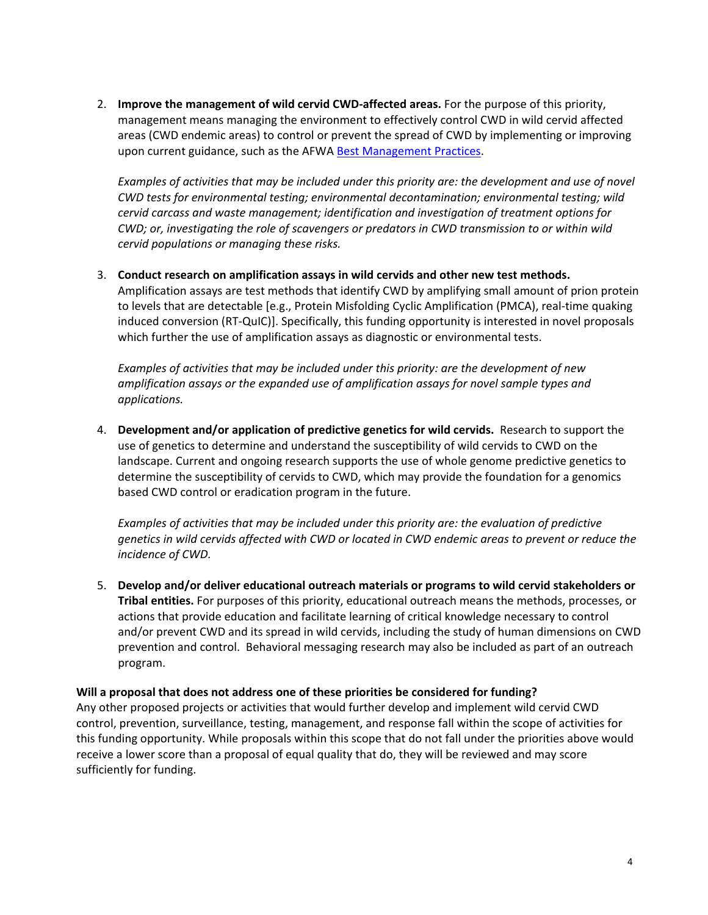2. **Improve the management of wild cervid CWD-affected areas.** For the purpose of this priority, management means managing the environment to effectively control CWD in wild cervid affected areas (CWD endemic areas) to control or prevent the spread of CWD by implementing or improving upon current guidance, such as the AFWA [Best Management Practices.](https://www.fishwildlife.org/application/files/5215/3729/1805/AFWA_CWD_BMPS_12_September_2018_FINAL.pdf)

*Examples of activities that may be included under this priority are: the development and use of novel CWD tests for environmental testing; environmental decontamination; environmental testing; wild cervid carcass and waste management; identification and investigation of treatment options for CWD; or, investigating the role of scavengers or predators in CWD transmission to or within wild cervid populations or managing these risks.*

3. **Conduct research on amplification assays in wild cervids and other new test methods.**  Amplification assays are test methods that identify CWD by amplifying small amount of prion protein to levels that are detectable [e.g., Protein Misfolding Cyclic Amplification (PMCA), real-time quaking induced conversion (RT-QuIC)]. Specifically, this funding opportunity is interested in novel proposals which further the use of amplification assays as diagnostic or environmental tests.

*Examples of activities that may be included under this priority: are the development of new amplification assays or the expanded use of amplification assays for novel sample types and applications.*

4. **Development and/or application of predictive genetics for wild cervids.** Research to support the use of genetics to determine and understand the susceptibility of wild cervids to CWD on the landscape. Current and ongoing research supports the use of whole genome predictive genetics to determine the susceptibility of cervids to CWD, which may provide the foundation for a genomics based CWD control or eradication program in the future.

*Examples of activities that may be included under this priority are: the evaluation of predictive genetics in wild cervids affected with CWD or located in CWD endemic areas to prevent or reduce the incidence of CWD.*

5. **Develop and/or deliver educational outreach materials or programs to wild cervid stakeholders or Tribal entities.** For purposes of this priority, educational outreach means the methods, processes, or actions that provide education and facilitate learning of critical knowledge necessary to control and/or prevent CWD and its spread in wild cervids, including the study of human dimensions on CWD prevention and control. Behavioral messaging research may also be included as part of an outreach program.

### **Will a proposal that does not address one of these priorities be considered for funding?**

Any other proposed projects or activities that would further develop and implement wild cervid CWD control, prevention, surveillance, testing, management, and response fall within the scope of activities for this funding opportunity. While proposals within this scope that do not fall under the priorities above would receive a lower score than a proposal of equal quality that do, they will be reviewed and may score sufficiently for funding.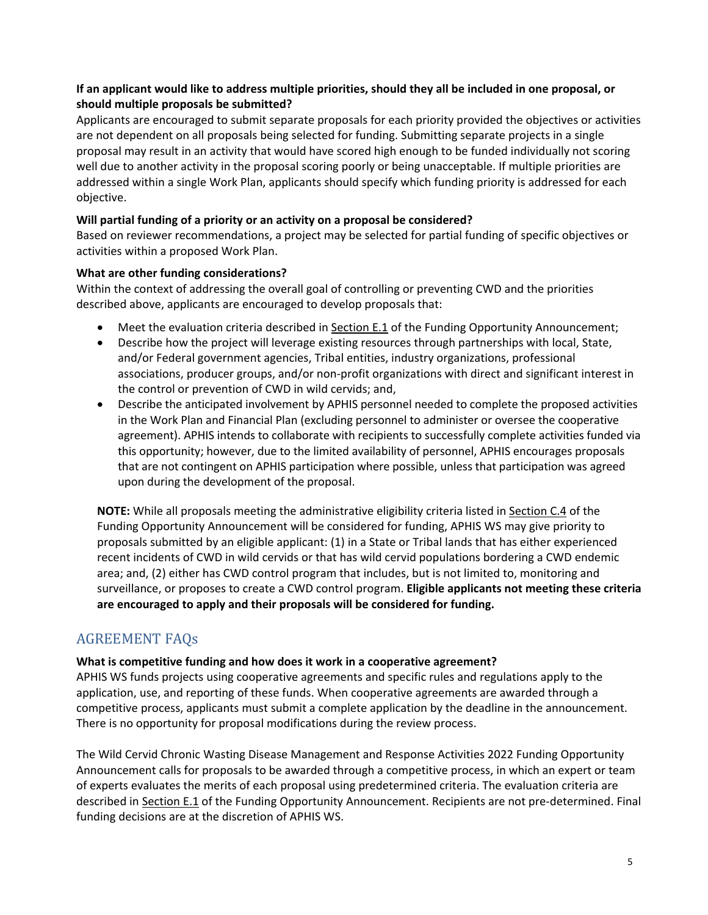### **If an applicant would like to address multiple priorities, should they all be included in one proposal, or should multiple proposals be submitted?**

Applicants are encouraged to submit separate proposals for each priority provided the objectives or activities are not dependent on all proposals being selected for funding. Submitting separate projects in a single proposal may result in an activity that would have scored high enough to be funded individually not scoring well due to another activity in the proposal scoring poorly or being unacceptable. If multiple priorities are addressed within a single Work Plan, applicants should specify which funding priority is addressed for each objective.

### **Will partial funding of a priority or an activity on a proposal be considered?**

Based on reviewer recommendations, a project may be selected for partial funding of specific objectives or activities within a proposed Work Plan.

### **What are other funding considerations?**

Within the context of addressing the overall goal of controlling or preventing CWD and the priorities described above, applicants are encouraged to develop proposals that:

- Meet the evaluation criteria described in Section E.1 of the Funding Opportunity Announcement;
- Describe how the project will leverage existing resources through partnerships with local, State, and/or Federal government agencies, Tribal entities, industry organizations, professional associations, producer groups, and/or non-profit organizations with direct and significant interest in the control or prevention of CWD in wild cervids; and,
- Describe the anticipated involvement by APHIS personnel needed to complete the proposed activities in the Work Plan and Financial Plan (excluding personnel to administer or oversee the cooperative agreement). APHIS intends to collaborate with recipients to successfully complete activities funded via this opportunity; however, due to the limited availability of personnel, APHIS encourages proposals that are not contingent on APHIS participation where possible, unless that participation was agreed upon during the development of the proposal.

**NOTE:** While all proposals meeting the administrative eligibility criteria listed in Section C.4 of the Funding Opportunity Announcement will be considered for funding, APHIS WS may give priority to proposals submitted by an eligible applicant: (1) in a State or Tribal lands that has either experienced recent incidents of CWD in wild cervids or that has wild cervid populations bordering a CWD endemic area; and, (2) either has CWD control program that includes, but is not limited to, monitoring and surveillance, or proposes to create a CWD control program. **Eligible applicants not meeting these criteria are encouraged to apply and their proposals will be considered for funding.**

# AGREEMENT FAQs

### **What is competitive funding and how does it work in a cooperative agreement?**

APHIS WS funds projects using cooperative agreements and specific rules and regulations apply to the application, use, and reporting of these funds. When cooperative agreements are awarded through a competitive process, applicants must submit a complete application by the deadline in the announcement. There is no opportunity for proposal modifications during the review process.

The Wild Cervid Chronic Wasting Disease Management and Response Activities 2022 Funding Opportunity Announcement calls for proposals to be awarded through a competitive process, in which an expert or team of experts evaluates the merits of each proposal using predetermined criteria. The evaluation criteria are described in Section E.1 of the Funding Opportunity Announcement. Recipients are not pre-determined. Final funding decisions are at the discretion of APHIS WS.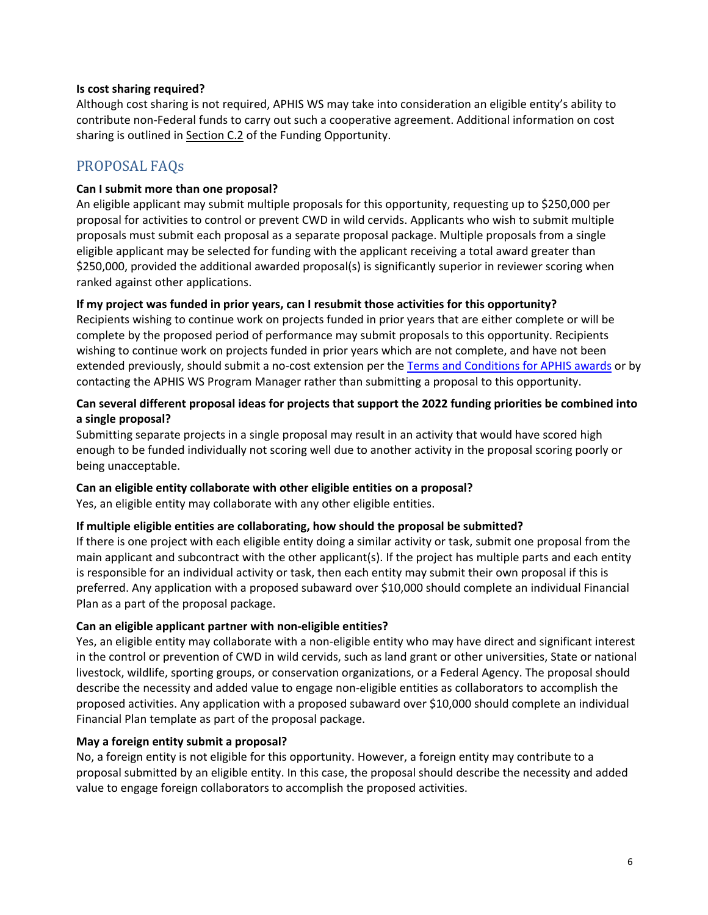### **Is cost sharing required?**

Although cost sharing is not required, APHIS WS may take into consideration an eligible entity's ability to contribute non-Federal funds to carry out such a cooperative agreement. Additional information on cost sharing is outlined in Section C.2 of the Funding Opportunity.

# PROPOSAL FAQs

### **Can I submit more than one proposal?**

An eligible applicant may submit multiple proposals for this opportunity, requesting up to \$250,000 per proposal for activities to control or prevent CWD in wild cervids. Applicants who wish to submit multiple proposals must submit each proposal as a separate proposal package. Multiple proposals from a single eligible applicant may be selected for funding with the applicant receiving a total award greater than \$250,000, provided the additional awarded proposal(s) is significantly superior in reviewer scoring when ranked against other applications.

### **If my project was funded in prior years, can I resubmit those activities for this opportunity?**

Recipients wishing to continue work on projects funded in prior years that are either complete or will be complete by the proposed period of performance may submit proposals to this opportunity. Recipients wishing to continue work on projects funded in prior years which are not complete, and have not been extended previously, should submit a no-cost extension per the [Terms and Conditions for APHIS awards](https://www.aphis.usda.gov/aphis/ourfocus/business-services/financial-management-division/Financial_Services_Branch/Agreements_Service_Center/terms-conditions-for-aphis-awards) or by contacting the APHIS WS Program Manager rather than submitting a proposal to this opportunity.

### **Can several different proposal ideas for projects that support the 2022 funding priorities be combined into a single proposal?**

Submitting separate projects in a single proposal may result in an activity that would have scored high enough to be funded individually not scoring well due to another activity in the proposal scoring poorly or being unacceptable.

### **Can an eligible entity collaborate with other eligible entities on a proposal?**

Yes, an eligible entity may collaborate with any other eligible entities.

### **If multiple eligible entities are collaborating, how should the proposal be submitted?**

If there is one project with each eligible entity doing a similar activity or task, submit one proposal from the main applicant and subcontract with the other applicant(s). If the project has multiple parts and each entity is responsible for an individual activity or task, then each entity may submit their own proposal if this is preferred. Any application with a proposed subaward over \$10,000 should complete an individual Financial Plan as a part of the proposal package.

### **Can an eligible applicant partner with non-eligible entities?**

Yes, an eligible entity may collaborate with a non-eligible entity who may have direct and significant interest in the control or prevention of CWD in wild cervids, such as land grant or other universities, State or national livestock, wildlife, sporting groups, or conservation organizations, or a Federal Agency. The proposal should describe the necessity and added value to engage non-eligible entities as collaborators to accomplish the proposed activities. Any application with a proposed subaward over \$10,000 should complete an individual Financial Plan template as part of the proposal package.

### **May a foreign entity submit a proposal?**

No, a foreign entity is not eligible for this opportunity. However, a foreign entity may contribute to a proposal submitted by an eligible entity. In this case, the proposal should describe the necessity and added value to engage foreign collaborators to accomplish the proposed activities.